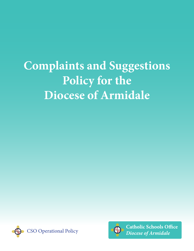# **Complaints and Suggestions**  Policy for the **Diocese of Armidale**





**Catholic Schools Office** *Diocese of Armidale*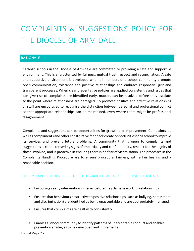# COMPLAINTS & SUGGESTIONS POLICY FOR THE DIOCESE OF ARMIDALE

# **RATIONALE**

Catholic schools in the Diocese of Armidale are committed to providing a safe and supportive environment. This is characterised by fairness, mutual trust, respect and reconciliation. A safe and supportive environment is developed when all members of a school community promote open communication, tolerance and positive relationships and embrace responsive, just and transparent processes. When clear preventative policies are applied consistently and issues that can give rise to complaints are identified early, matters can be resolved before they escalate to the point where relationships are damaged. To promote positive and effective relationships all staff are encouraged to recognise the distinction between personal and professional conflict so that appropriate relationships can be maintained, even where there might be professional disagreement.

Complaints and suggestions can be opportunities for growth and improvement. Complaints, as well as compliments and other constructive feedback create opportunities for a school to improve its services and prevent future problems. A community that is open to complaints and suggestions is characterised by signs of impartiality and confidentiality, respect for the dignity of those involved, and is proactive in ensuring there is no fear of victimisation. The processes in the Complaints Handling Procedure are to ensure procedural fairness, with a fair hearing and a reasonable decision.

#### THE COMPLAINTS HANDLING PROCEDURE HELPS BUILD A SAFE AND SUPPORTIVE CULTURE AS IT;

- Encourages early intervention in issues before they damage working relationships
- Ensures that behaviours destructive to positive relationships (such as bullying, harassment and discrimination) are identified as being unacceptable and are appropriately managed
- Ensures that complaints are dealt with consistently
- Enables a school community to identify patterns of unacceptable conduct and enables prevention strategies to be developed and implemented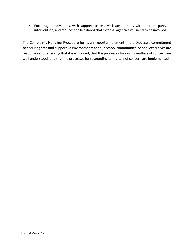• Encourages individuals, with support, to resolve issues directly without third party intervention, and reduces the likelihood that external agencies will need to be involved

The Complaints Handling Procedure forms an important element in the Diocese's commitment to ensuring safe and supportive environments for our school communities. School executives are responsible for ensuring that it is explained, that the processes for raising matters of concern are well understood, and that the processes for responding to matters of concern are implemented.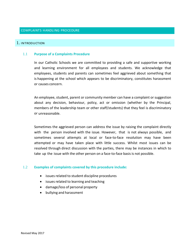#### COMPLAINTS HANDLING PROCEDURE

#### 1. INTRODUCTION

#### 1.1 **Purpose of a Complaints Procedure**

In our Catholic Schools we are committed to providing a safe and supportive working and learning environment for all employees and students. We acknowledge that employees, students and parents can sometimes feel aggrieved about something that is happening at the school which appears to be discriminatory, constitutes harassment or causes concern.

An employee, student, parent or community member can have a complaint or suggestion about any decision, behaviour, policy, act or omission (whether by the Principal, members of the leadership team or other staff/students) that they feel is discriminatory or unreasonable.

Sometimes the aggrieved person can address the issue by raising the complaint directly with the person involved with the issue. However, that is not always possible, and sometimes several attempts at local or face-to-face resolution may have been attempted or may have taken place with little success. Whilst most issues can be resolved through direct discussion with the parties, there may be instances in which to take up the issue with the other person on a face-to-face basis is not possible.

#### 1.2 **Examples of complaints covered by this procedure include:**

- issues related to student discipline procedures
- issues related to learning and teaching
- damage/loss of personal property
- bullying and harassment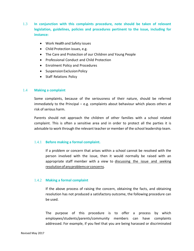- 1.3 **In conjunction with this complaints procedure, note should be taken of relevant legislation, guidelines, policies and procedures pertinent to the issue, including for instance:**
	- Work Health and Safety issues
	- Child Protection issues, e.g.
	- The Care and Protection of our Children and Young People
	- Professional Conduct and Child Protection
	- Enrolment Policy and Procedures
	- Suspension Exclusion Policy
	- Staff Relations Policy

#### 1.4 **Making a complaint**

Some complaints, because of the seriousness of their nature, should be referred immediately to the Principal – e.g. complaints about behaviour which places others at risk of serious harm.

Parents should not approach the children of other families with a school related complaint. This is often a sensitive area and in order to protect all the parties it is advisable to work through the relevant teacher or member of the school leadership team.

#### 1.4.1 **Before making a formal complaint.**

If a problem or concern that arises within a school cannot be resolved with the person involved with the issue, then it would normally be raised with an appropriate staff member with a view to discussing the issue and seeking resolutionofanyproblemsorconcerns.

#### 1.4.2 **Making a formal complaint**

If the above process of raising the concern, obtaining the facts, and obtaining resolution has not produced a satisfactory outcome, the following procedure can be used.

The purpose of this procedure is to offer a process by which employees/students/parents/community members can have complaints addressed. For example, if you feel that you are being harassed or discriminated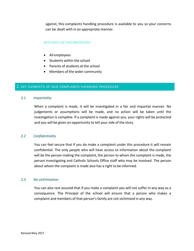against, this complaints handling procedure is available to you so your concerns can be dealt with in an appropriate manner.

#### WHO MAY USE THIS PROCEDURE?

- All employees
- Students within the school
- Parents of students at the school
- Members of the wider community

#### 2. KEY ELEMENTS OF OUR COMPLAINTS HANDLING PROCEDURE

#### *2.1 Impartiality*

When a complaint is made, it will be investigated in a fair and impartial manner. No judgements or assumptions will be made, and no action will be taken until the investigation is complete. If a complaint is made against you, your rights will be protected and you will be given an opportunity to tell your side of the story.

#### *2.2 Confidentiality*

You can feel secure that if you do make a complaint under this procedure it will remain confidential. The only people who will have access to information about the complaint will be the person making the complaint, the person to whom the complaint is made, the person investigating and Catholic Schools Office staff who may be involved. The person about whom the complaint is made also has a right to be informed.

#### *2.3 No victimisation*

You can also rest assured that if you make a complaint you will not suffer in any way as a consequence. The Principal of the school will ensure that a person who makes a complaint and members of that person's family are not victimised in any way.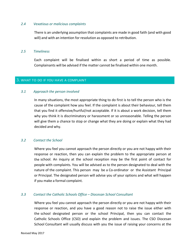#### *2.4 Vexatious or malicious complaints*

There is an underlying assumption that complaints are made in good faith (and with good will) and with an intention for resolution as opposed to retribution.

#### *2.5 Timeliness*

Each complaint will be finalised within as short a period of time as possible. Complainants will be advised if the matter cannot be finalised within one month.

#### 3. WHAT TO DO IF YOU HAVE A COMPLAINT

#### *3.1 Approach the person involved*

In many situations, the most appropriate thing to do first is to tell the person who is the cause of the complaint how you feel. If the complaint is about their behaviour, tell them that you find it offensive/hurtful/not acceptable. If it is about a work decision, tell them why you think it is discriminatory or harassment or so unreasonable. Telling the person will give them a chance to stop or change what they are doing or explain what they had decided and why.

#### *3.2 Contact the School*

Where you feel you cannot approach the person directly or you are not happy with their response or reaction, then you can explain the problem to the appropriate person at the school. An inquiry at the school reception may be the first point of contact for people with complaints. You will be advised as to the person designated to deal with the nature of the complaint. This person may be a Co-ordinator or the Assistant Principal or Principal. The designated person will advise you of your options and what will happen if you make a formal complaint.

#### *3.3 Contact the Catholic Schools Office – Diocesan School Consultant*

Where you feel you cannot approach the person directly or you are not happy with their response or reaction, and you have a good reason not to raise the issue either with the school designated person or the school Principal, then you can contact the Catholic Schools Office (CSO) and explain the problem and issues. The CSO Diocesan School Consultant will usually discuss with you the issue of raising your concerns at the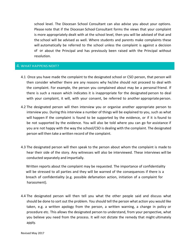school level. The Diocesan School Consultant can also advise you about your options. Please note that if the Diocesan School Consultant forms the views that your complaint is more appropriately dealt with at the school level, then you will be advised of that and the school will be advised as well. Where students and parents make complaints these will automatically be referred to the school unless the complaint is against a decision of or about the Principal and has previously been raised with the Principal without resolution.

# 4. WHAT HAPPENS NEXT?

- 4.1 Once you have made the complaint to the designated school or CSO person, that person will then consider whether there are any reasons why he/she should not proceed to deal with the complaint. For example, the person you complained about may be a personal friend. If there is such a reason which indicates it is inappropriate for the designated person to deal with your complaint, it will, with your consent, be referred to another appropriate person.
- 4.2 The designated person will then interview you or organise another appropriate person to interview you. During this interview a number of things will be explained to you, such as what will happen if the complaint is found to be supported by the evidence, or if it is found to be not supported by the evidence. You will also be told where you can go for assistance if you are not happy with the way the school/CSO is dealing with the complaint. The designated person will then take a written record of the complaint.
- 4.3 The designated person will then speak to the person about whom the complaint is made to hear their side of the story. Any witnesses will also be interviewed. These interviews will be conducted separately and impartially.

 Written reports about the complaint may be requested. The importance of confidentiality will be stressed to all parties and they will be warned of the consequences if there is a breach of confidentiality (e.g. possible defamation action, initiation of a complaint for harassment).

4.4 The designated person will then tell you what the other people said and discuss what should be done to sort out the problem. You should tell the person what action you would like taken, e.g. a written apology from the person, a written warning, a change in policy or procedure etc. This allows the designated person to understand, from your perspective, what you believe you need from the process. It will not dictate the remedy that might ultimately apply.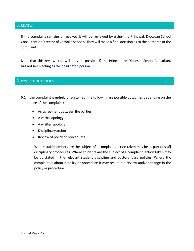## 5. REVIEW

If the complaint remains unresolved it will be reviewed by either the Principal, Diocesan School Consultant or Director of Catholic Schools. They will make a final decision asto the outcome of the complaint.

Note that this review step will only be possible if the Principal or Diocesan School Consultant has not been acting as the designated person.

#### 6. POSSIBLE OUTCOMES

- 6.1 If the complaint is upheld or sustained, the following are possible outcomes depending on the nature of the complaint:
	- An agreement between the parties
	- A verbal apology
	- A written apology
	- Disciplinary action
	- Review of policy or procedures

Where staff members are the subject of a complaint, action taken may be as part of staff disciplinary procedures. Where students are the subject of a complaint, action taken may be as stated in the relevant student discipline and pastoral care policies. Where the complaint is about a policy or procedure it may result in a review and/or change in the policy or procedure.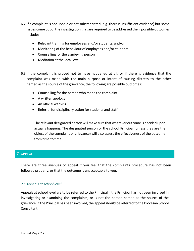- 6.2 If a complaint is not upheld or not substantiated (e.g. there is insufficient evidence) but some issues come out ofthe investigation that are required to be addressed then, possible outcomes include:
	- Relevant training for employees and/or students; and/or
	- Monitoring of the behaviour of employees and/or students
	- Counselling for the aggrieving person
	- Mediation at the local level.
- 6.3 If the complaint is proved not to have happened at all, or if there is evidence that the complaint was made with the main purpose or intent of causing distress to the other named as the source of the grievance, the following are possible outcomes:
	- Counselling for the person who made the complaint
	- A written apology
	- An official warning
	- Referral for disciplinary action for students and staff

The relevant designated person will make sure that whatever outcome is decided upon actually happens. The designated person or the school Principal (unless they are the object of the complaint or grievance) will also assess the effectiveness of the outcome from time to time.

# 7. APPEALS

There are three avenues of appeal if you feel that the complaints procedure has not been followed properly, or that the outcome is unacceptable to you.

#### *7.1 Appeals at school level*

Appeals at school level are to be referred to the Principal if the Principal has not been involved in investigating or examining the complaints, or is not the person named as the source of the grievance. If the Principal has been involved, the appeal should be referred to the Diocesan School Consultant.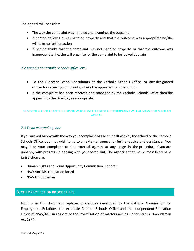The appeal will consider:

- The way the complaint was handled and examines the outcome
- If he/she believes it was handled properly and that the outcome was appropriate he/she will take no further action
- If he/she thinks that the complaint was not handled properly, or that the outcome was inappropriate, he/she will organise for the complaint to be looked at again

# *7.2 Appeals at Catholic Schools Office level*

- To the Diocesan School Consultants at the Catholic Schools Office, or any designated officer for receiving complaints, where the appeal is from the school.
- If the complaint has been received and managed by the Catholic Schools Office then the appeal is to the Director, as appropriate.

## SOMEONE OTHER THAN THE PERSON WHO FIRST HANDLED THE COMPLAINT WILL ALWAYS DEAL WITH AN APPEAL.

#### *7.3 To an external agency*

If you are not happy with the way your complaint has been dealt with by the school or the Catholic Schools Office, you may wish to go to an external agency for further advice and assistance. You may take your complaint to the external agency at any stage in the procedure if you are unhappy with progress in dealing with your complaint. The agencies that would most likely have jurisdiction are:

- Human Rights and Equal Opportunity Commission (Federal)
- NSW Anti Discrimination Board
- NSW Ombudsman

#### 8. CHILDPROTECTIONPROCEDURES

Nothing in this document replaces procedures developed by the Catholic Commission for Employment Relations, the Armidale Catholic Schools Office and the Independent Education Union of NSW/ACT in respect of the investigation of matters arising under Part 3A Ombudsman Act 1974.